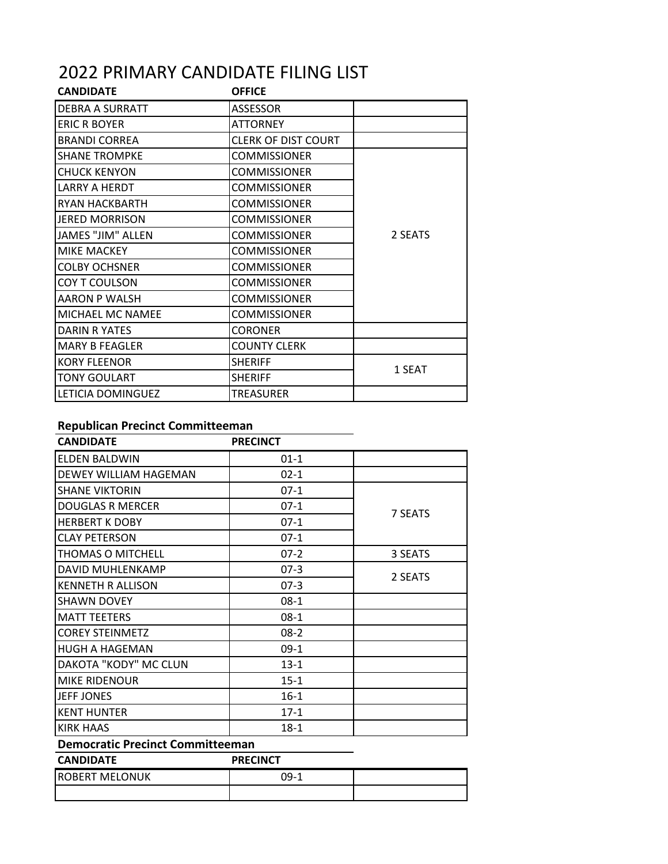## 2022 PRIMARY CANDIDATE FILING LIST

| <b>CANDIDATE</b>      | <b>OFFICE</b>              |         |
|-----------------------|----------------------------|---------|
| DEBRA A SURRATT       | <b>ASSESSOR</b>            |         |
| <b>ERIC R BOYER</b>   | <b>ATTORNEY</b>            |         |
| <b>BRANDI CORREA</b>  | <b>CLERK OF DIST COURT</b> |         |
| <b>SHANE TROMPKE</b>  | <b>COMMISSIONER</b>        |         |
| <b>CHUCK KENYON</b>   | <b>COMMISSIONER</b>        | 2 SEATS |
| LARRY A HERDT         | <b>COMMISSIONER</b>        |         |
| RYAN HACKBARTH        | <b>COMMISSIONER</b>        |         |
| <b>JERED MORRISON</b> | <b>COMMISSIONER</b>        |         |
| JAMES "JIM" ALLEN     | <b>COMMISSIONER</b>        |         |
| MIKE MACKEY           | <b>COMMISSIONER</b>        |         |
| <b>COLBY OCHSNER</b>  | <b>COMMISSIONER</b>        |         |
| COY T COULSON         | <b>COMMISSIONER</b>        |         |
| AARON P WALSH         | <b>COMMISSIONER</b>        |         |
| MICHAEL MC NAMEE      | <b>COMMISSIONER</b>        |         |
| DARIN R YATES         | <b>CORONER</b>             |         |
| <b>MARY B FEAGLER</b> | <b>COUNTY CLERK</b>        |         |
| <b>KORY FLEENOR</b>   | <b>SHERIFF</b>             | 1 SEAT  |
| <b>TONY GOULART</b>   | <b>SHERIFF</b>             |         |
| LETICIA DOMINGUEZ     | TREASURER                  |         |

## **Republican Precinct Committeeman**

| <b>CANDIDATE</b>                        | <b>PRECINCT</b> |         |  |
|-----------------------------------------|-----------------|---------|--|
| <b>ELDEN BALDWIN</b>                    | $01 - 1$        |         |  |
| DEWEY WILLIAM HAGEMAN                   | $02 - 1$        |         |  |
| <b>SHANE VIKTORIN</b>                   | $07-1$          | 7 SEATS |  |
| <b>DOUGLAS R MERCER</b>                 | $07-1$          |         |  |
| <b>HERBERT K DOBY</b>                   | $07-1$          |         |  |
| CLAY PETERSON                           | $07-1$          |         |  |
| THOMAS O MITCHELL                       | $07-2$          | 3 SEATS |  |
| DAVID MUHLENKAMP                        | $07-3$          | 2 SEATS |  |
| <b>KENNETH R ALLISON</b>                | $07-3$          |         |  |
| <b>SHAWN DOVEY</b>                      | $08-1$          |         |  |
| <b>MATT TEETERS</b>                     | $08-1$          |         |  |
| <b>COREY STEINMETZ</b>                  | $08-2$          |         |  |
| <b>HUGH A HAGEMAN</b>                   | $09-1$          |         |  |
| DAKOTA "KODY" MC CLUN                   | $13-1$          |         |  |
| <b>MIKE RIDENOUR</b>                    | $15 - 1$        |         |  |
| <b>JEFF JONES</b>                       | $16 - 1$        |         |  |
| <b>KENT HUNTER</b>                      | $17 - 1$        |         |  |
| <b>KIRK HAAS</b>                        | $18-1$          |         |  |
| <b>Democratic Precinct Committeeman</b> |                 |         |  |
| <b>CANDIDATE</b>                        | <b>PRECINCT</b> |         |  |
| <b>ROBERT MELONUK</b>                   | $09-1$          |         |  |
|                                         |                 |         |  |